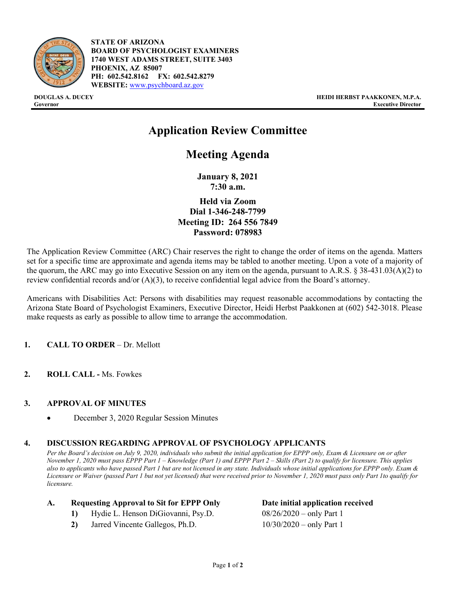

**STATE OF ARIZONA BOARD OF PSYCHOLOGIST EXAMINERS 1740 WEST ADAMS STREET, SUITE 3403 PHOENIX, AZ 85007 PH: 602.542.8162 FX: 602.542.8279 WEBSITE:** [www.psychboard.az.gov](http://www.psychboard.az.gov/)

# **Application Review Committee**

## **Meeting Agenda**

**January 8, 2021 7:30 a.m.**

**Held via Zoom Dial 1-346-248-7799 Meeting ID: 264 556 7849 Password: 078983**

The Application Review Committee (ARC) Chair reserves the right to change the order of items on the agenda. Matters set for a specific time are approximate and agenda items may be tabled to another meeting. Upon a vote of a majority of the quorum, the ARC may go into Executive Session on any item on the agenda, pursuant to A.R.S. § 38-431.03(A)(2) to review confidential records and/or (A)(3), to receive confidential legal advice from the Board's attorney.

Americans with Disabilities Act: Persons with disabilities may request reasonable accommodations by contacting the Arizona State Board of Psychologist Examiners, Executive Director, Heidi Herbst Paakkonen at (602) 542-3018. Please make requests as early as possible to allow time to arrange the accommodation.

#### **1. CALL TO ORDER** – Dr. Mellott

**2. ROLL CALL -** Ms. Fowkes

#### **3. APPROVAL OF MINUTES**

• December 3, 2020 Regular Session Minutes

#### **4. DISCUSSION REGARDING APPROVAL OF PSYCHOLOGY APPLICANTS**

*Per the Board's decision on July 9, 2020, individuals who submit the initial application for EPPP only, Exam & Licensure on or after November 1, 2020 must pass EPPP Part 1 – Knowledge (Part 1) and EPPP Part 2 – Skills (Part 2) to qualify for licensure. This applies also to applicants who have passed Part 1 but are not licensed in any state. Individuals whose initial applications for EPPP only. Exam & Licensure or Waiver (passed Part 1 but not yet licensed) that were received prior to November 1, 2020 must pass only Part 1to qualify for licensure.* 

#### **A. Requesting Approval to Sit for EPPP Only Date initial application received**

- **1)** Hydie L. Henson DiGiovanni, Psy.D. 08/26/2020 only Part 1
- **2)** Jarred Vincente Gallegos, Ph.D. 10/30/2020 only Part 1